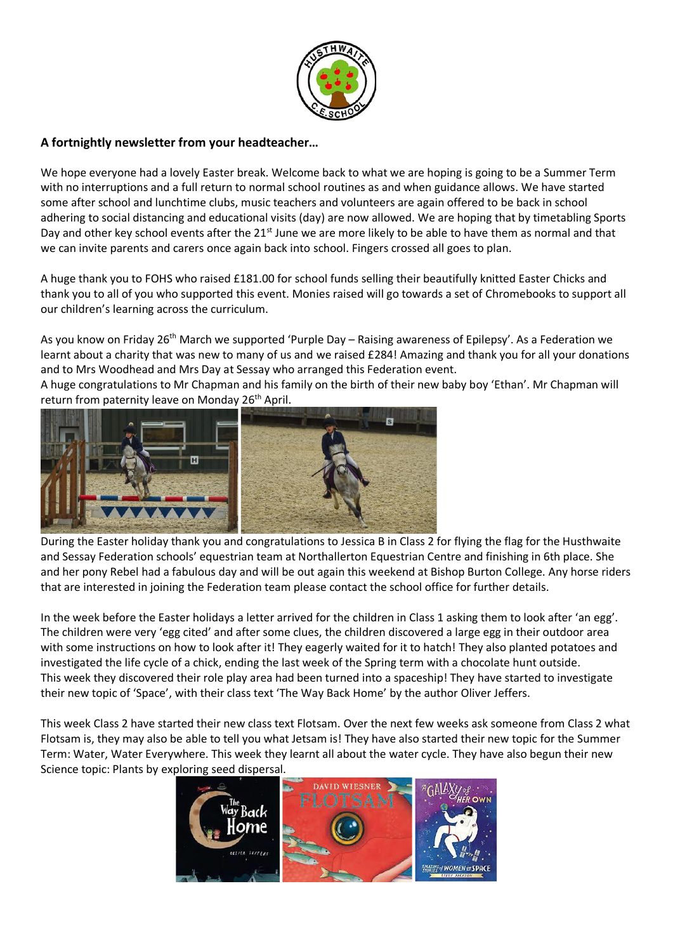

# **A fortnightly newsletter from your headteacher…**

We hope everyone had a lovely Easter break. Welcome back to what we are hoping is going to be a Summer Term with no interruptions and a full return to normal school routines as and when guidance allows. We have started some after school and lunchtime clubs, music teachers and volunteers are again offered to be back in school adhering to social distancing and educational visits (day) are now allowed. We are hoping that by timetabling Sports Day and other key school events after the 21<sup>st</sup> June we are more likely to be able to have them as normal and that we can invite parents and carers once again back into school. Fingers crossed all goes to plan.

A huge thank you to FOHS who raised £181.00 for school funds selling their beautifully knitted Easter Chicks and thank you to all of you who supported this event. Monies raised will go towards a set of Chromebooks to support all our children's learning across the curriculum.

As you know on Friday 26<sup>th</sup> March we supported 'Purple Day – Raising awareness of Epilepsy'. As a Federation we learnt about a charity that was new to many of us and we raised £284! Amazing and thank you for all your donations and to Mrs Woodhead and Mrs Day at Sessay who arranged this Federation event.

A huge congratulations to Mr Chapman and his family on the birth of their new baby boy 'Ethan'. Mr Chapman will return from paternity leave on Monday 26<sup>th</sup> April.



During the Easter holiday thank you and congratulations to Jessica B in Class 2 for flying the flag for the Husthwaite and Sessay Federation schools' equestrian team at Northallerton Equestrian Centre and finishing in 6th place. She and her pony Rebel had a fabulous day and will be out again this weekend at Bishop Burton College. Any horse riders that are interested in joining the Federation team please contact the school office for further details.

In the week before the Easter holidays a letter arrived for the children in Class 1 asking them to look after 'an egg'. The children were very 'egg cited' and after some clues, the children discovered a large egg in their outdoor area with some instructions on how to look after it! They eagerly waited for it to hatch! They also planted potatoes and investigated the life cycle of a chick, ending the last week of the Spring term with a chocolate hunt outside. This week they discovered their role play area had been turned into a spaceship! They have started to investigate their new topic of 'Space', with their class text 'The Way Back Home' by the author Oliver Jeffers.

This week Class 2 have started their new class text Flotsam. Over the next few weeks ask someone from Class 2 what Flotsam is, they may also be able to tell you what Jetsam is! They have also started their new topic for the Summer Term: Water, Water Everywhere. This week they learnt all about the water cycle. They have also begun their new Science topic: Plants by exploring seed dispersal.

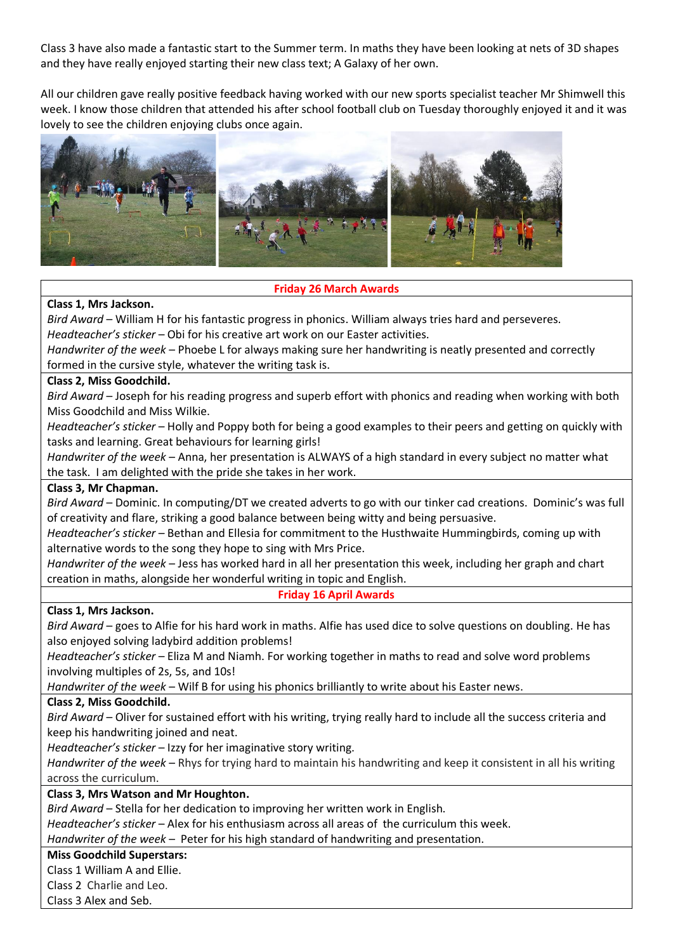Class 3 have also made a fantastic start to the Summer term. In maths they have been looking at nets of 3D shapes and they have really enjoyed starting their new class text; A Galaxy of her own.

All our children gave really positive feedback having worked with our new sports specialist teacher Mr Shimwell this week. I know those children that attended his after school football club on Tuesday thoroughly enjoyed it and it was lovely to see the children enjoying clubs once again.



# **Friday 26 March Awards**

### **Class 1, Mrs Jackson.**

*Bird Award* – William H for his fantastic progress in phonics. William always tries hard and perseveres. *Headteacher's sticker* – Obi for his creative art work on our Easter activities.

*Handwriter of the week* – Phoebe L for always making sure her handwriting is neatly presented and correctly formed in the cursive style, whatever the writing task is.

### **Class 2, Miss Goodchild.**

*Bird Award* – Joseph for his reading progress and superb effort with phonics and reading when working with both Miss Goodchild and Miss Wilkie.

*Headteacher's sticker* – Holly and Poppy both for being a good examples to their peers and getting on quickly with tasks and learning. Great behaviours for learning girls!

*Handwriter of the week* – Anna, her presentation is ALWAYS of a high standard in every subject no matter what the task. I am delighted with the pride she takes in her work.

#### **Class 3, Mr Chapman.**

*Bird Award* – Dominic. In computing/DT we created adverts to go with our tinker cad creations. Dominic's was full of creativity and flare, striking a good balance between being witty and being persuasive.

*Headteacher's sticker* – Bethan and Ellesia for commitment to the Husthwaite Hummingbirds, coming up with alternative words to the song they hope to sing with Mrs Price.

*Handwriter of the week* – Jess has worked hard in all her presentation this week, including her graph and chart creation in maths, alongside her wonderful writing in topic and English.

#### **Friday 16 April Awards**

#### **Class 1, Mrs Jackson.**

*Bird Award* – goes to Alfie for his hard work in maths. Alfie has used dice to solve questions on doubling. He has also enjoyed solving ladybird addition problems!

*Headteacher's sticker* – Eliza M and Niamh. For working together in maths to read and solve word problems involving multiples of 2s, 5s, and 10s!

*Handwriter of the week* – Wilf B for using his phonics brilliantly to write about his Easter news.

#### **Class 2, Miss Goodchild.**

*Bird Award* – Oliver for sustained effort with his writing, trying really hard to include all the success criteria and keep his handwriting joined and neat.

*Headteacher's sticker* – Izzy for her imaginative story writing.

*Handwriter of the week* – Rhys for trying hard to maintain his handwriting and keep it consistent in all his writing across the curriculum.

### **Class 3, Mrs Watson and Mr Houghton.**

*Bird Award* – Stella for her dedication to improving her written work in English.

*Headteacher's sticker* – Alex for his enthusiasm across all areas of the curriculum this week.

*Handwriter of the week* – Peter for his high standard of handwriting and presentation.

## **Miss Goodchild Superstars:**

Class 1 William A and Ellie.

Class 2 Charlie and Leo.

Class 3 Alex and Seb.